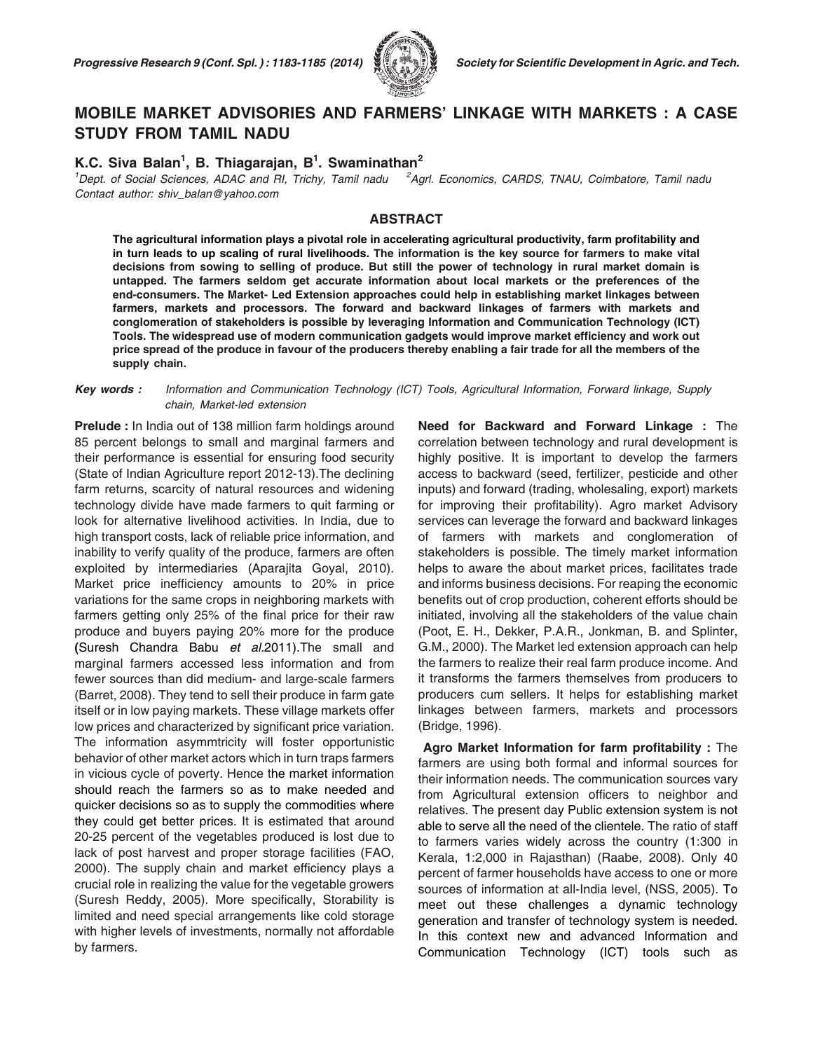

# **MO BILE MAR KET AD VI SO RIES AND FARMERS' LINK AGE WITH MAR KETS : A CASE STUDY FROM TAMIL NADU**

## **K.C. Siva Balan<sup>1</sup> , B. Thiagarajan, B<sup>1</sup> . Swaminathan<sup>2</sup>**

<sup>1</sup>*Dept. of Social Sciences, ADAC and RI, Trichy, Tamil nadu <sup>2</sup>Agrl. Economics, CARDS, TNAU, Coimbatore, Tamil nadu Con tact au thor: shiv\_balan@ya hoo.com*

#### **ABSTRACT**

**The agricultural information plays a pivotal role in accelerating agricultural productivity, farm profitability and in turn leads to up scaling of rural livelihoods. The information is the key source for farmers to make vital decisions from sowing to selling of produce. But still the power of technology in rural market domain is untapped. The farmers seldom get accurate information about local markets or the preferences of the end-consumers. The Market- Led Extension approaches could help in establishing market linkages between farmers, markets and processors. The forward and backward linkages of farmers with markets and conglomeration of stakeholders is possible by leveraging Information and Communication Technology (ICT) Tools. The widespread use of modern communication gadgets would improve market efficiency and work out price spread of the produce in favour of the producers thereby enabling a fair trade for all the members of the supply chain.**

#### **Key words :** Information and Communication Technology (ICT) Tools, Agricultural Information, Forward linkage, Supply  *chain, Mar ket-led ex ten sion*

**Prelude :** In India out of 138 million farm holdings around 85 percent belongs to small and marginal farmers and their performance is essential for ensuring food security (State of Indian Agriculture report 2012-13).The declining farm returns, scarcity of natural resources and widening technology divide have made farmers to quit farming or look for alternative livelihood activities. In India, due to high transport costs, lack of reliable price information, and inability to verify quality of the produce, farmers are often exploited by intermediaries (Aparajita Goyal, 2010). Market price inefficiency amounts to 20% in price variations for the same crops in neighboring markets with farmers getting only 25% of the final price for their raw produce and buyers paying 20% more for the produce **(**Suresh Chandra Babu *et al.*2011).The small and marginal farmers accessed less information and from fewer sources than did medium- and large-scale farmers (Barret, 2008). They tend to sell their produce in farm gate itself or in low paying markets. These village markets offer low prices and characterized by significant price variation. The information asymmtricity will foster opportunistic behavior of other market actors which in turn traps farmers in vicious cycle of poverty. Hence the market information should reach the farmers so as to make needed and quicker decisions so as to supply the commodities where they could get better prices. It is estimated that around 20-25 percent of the vegetables produced is lost due to lack of post harvest and proper storage facilities (FAO, 2000). The supply chain and market efficiency plays a crucial role in realizing the value for the vegetable growers (Suresh Reddy, 2005). More specifically, Storability is limited and need special arrangements like cold storage with higher levels of investments, normally not affordable by farmers.

**Need for Backward and Forward Linkage :** The correlation between technology and rural development is highly positive. It is important to develop the farmers access to backward (seed, fertilizer, pesticide and other inputs) and forward (trading, wholesaling, export) markets for improving their profitability). Agro market Advisory services can leverage the forward and backward linkages of farmers with markets and conglomeration of stakeholders is possible. The timely market information helps to aware the about market prices, facilitates trade and informs business decisions. For reaping the economic benefits out of crop production, coherent efforts should be initiated, involving all the stakeholders of the value chain (Poot, E. H., Dekker, P.A.R., Jonkman, B. and Splinter, G.M., 2000). The Market led extension approach can help the farmers to realize their real farm produce income. And it transforms the farmers themselves from producers to producers cum sellers. It helps for establishing market linkages between farmers, markets and processors (Bridge, 1996).

**Agro Market Information for farm profitability :** The farmers are using both formal and informal sources for their information needs. The communication sources vary from Agricultural extension officers to neighbor and relatives. The present day Public extension system is not able to serve all the need of the clientele. The ratio of staff to farmers varies widely across the country (1:300 in Kerala, 1:2,000 in Rajasthan) (Raabe, 2008). Only 40 percent of farmer households have access to one or more sources of information at all-India level, (NSS, 2005). To meet out these challenges a dynamic technology generation and transfer of technology system is needed. In this context new and advanced Information and Communication Technology (ICT) tools such as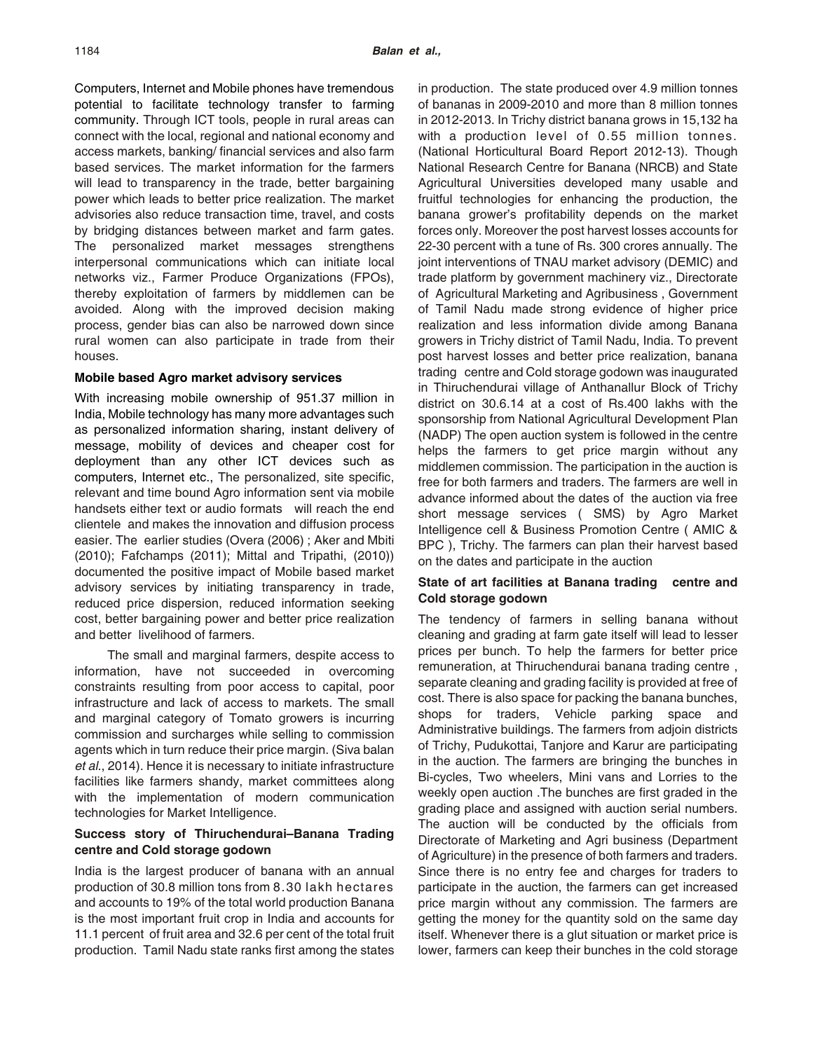Computers, Internet and Mobile phones have tremendous potential to facilitate technology transfer to farming community. Through ICT tools, people in rural areas can connect with the local, regional and national economy and access markets, banking/ financial services and also farm based services. The market information for the farmers will lead to transparency in the trade, better bargaining power which leads to better price realization. The market advisories also reduce transaction time, travel, and costs by bridging distances between market and farm gates. The personalized market messages strengthens interpersonal communications which can initiate local networks viz., Farmer Produce Organizations (FPOs), thereby exploitation of farmers by middlemen can be avoided. Along with the improved decision making process, gender bias can also be narrowed down since rural women can also participate in trade from their houses.

### **Mobile based Agro market advisory services**

With increasing mobile ownership of 951.37 million in India, Mobile technology has many more advantages such as personalized information sharing, instant delivery of message, mobility of devices and cheaper cost for deployment than any other ICT devices such as computers, Internet etc., The personalized, site specific, relevant and time bound Agro information sent via mobile handsets either text or audio formats will reach the end clientele and makes the innovation and diffusion process easier. The earlier studies (Overa (2006) ; Aker and Mbiti (2010); Fafchamps (2011); Mittal and Tripathi, (2010)) documented the positive impact of Mobile based market advisory services by initiating transparency in trade, reduced price dispersion, reduced information seeking cost, better bargaining power and better price realization and better livelihood of farmers.

 The small and marginal farmers, despite access to information, have not succeeded in overcoming constraints resulting from poor access to capital, poor infrastructure and lack of access to markets. The small and marginal category of Tomato growers is incurring commission and surcharges while selling to commission agents which in turn reduce their price margin. (Siva balan *et al*., 2014). Hence it is necessary to initiate infrastructure facilities like farmers shandy, market committees along with the implementation of modern communication technologies for Market Intelligence.

### **Success story of Thiruchendurai–Banana Trading centre and Cold storage godown**

India is the largest producer of banana with an annual production of 30.8 million tons from 8.30 lakh hectares and accounts to 19% of the total world production Banana is the most important fruit crop in India and accounts for 11.1 percent of fruit area and 32.6 per cent of the total fruit production. Tamil Nadu state ranks first among the states

in production. The state produced over 4.9 million tonnes of bananas in 2009-2010 and more than 8 million tonnes in 2012-2013. In Trichy district banana grows in 15,132 ha with a production level of 0.55 million tonnes. (National Horticultural Board Report 2012-13). Though National Research Centre for Banana (NRCB) and State Agricultural Universities developed many usable and fruitful technologies for enhancing the production, the banana grower's profitability depends on the market forces only. Moreover the post harvest losses accounts for 22-30 percent with a tune of Rs. 300 crores annually. The joint interventions of TNAU market advisory (DEMIC) and trade platform by government machinery viz., Directorate of Agricultural Marketing and Agribusiness , Government of Tamil Nadu made strong evidence of higher price realization and less information divide among Banana growers in Trichy district of Tamil Nadu, India. To prevent post harvest losses and better price realization, banana trading centre and Cold storage godown was inaugurated in Thiruchendurai village of Anthanallur Block of Trichy district on 30.6.14 at a cost of Rs.400 lakhs with the sponsorship from National Agricultural Development Plan (NADP) The open auction system is followed in the centre helps the farmers to get price margin without any middlemen commission. The participation in the auction is free for both farmers and traders. The farmers are well in advance informed about the dates of the auction via free short message services ( SMS) by Agro Market Intelligence cell & Business Promotion Centre ( AMIC & BPC ), Trichy. The farmers can plan their harvest based on the dates and participate in the auction

### **State of art facilities at Banana trading centre and Cold storage godown**

The tendency of farmers in selling banana without cleaning and grading at farm gate itself will lead to lesser prices per bunch. To help the farmers for better price remuneration, at Thiruchendurai banana trading centre , separate cleaning and grading facility is provided at free of cost. There is also space for packing the banana bunches, shops for traders, Vehicle parking space and Administrative buildings. The farmers from adjoin districts of Trichy, Pudukottai, Tanjore and Karur are participating in the auction. The farmers are bringing the bunches in Bi-cycles, Two wheelers, Mini vans and Lorries to the weekly open auction .The bunches are first graded in the grading place and assigned with auction serial numbers. The auction will be conducted by the officials from Directorate of Marketing and Agri business (Department of Agriculture) in the presence of both farmers and traders. Since there is no entry fee and charges for traders to participate in the auction, the farmers can get increased price margin without any commission. The farmers are getting the money for the quantity sold on the same day itself. Whenever there is a glut situation or market price is lower, farmers can keep their bunches in the cold storage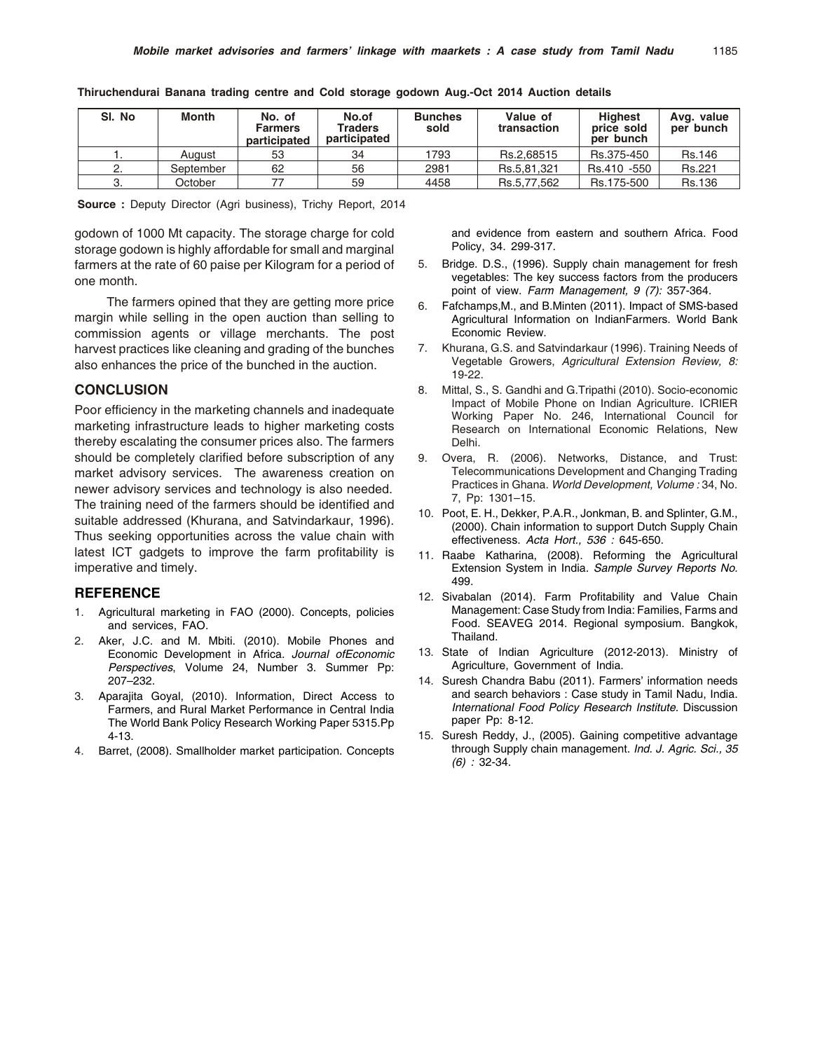| SI. No | Month     | No. of<br><b>Farmers</b><br>participated | No.of<br>Traders<br>participated | <b>Bunches</b><br>sold | Value of<br>transaction | <b>Highest</b><br>price sold<br>per bunch | Avg. value<br>per bunch |
|--------|-----------|------------------------------------------|----------------------------------|------------------------|-------------------------|-------------------------------------------|-------------------------|
|        | Auaust    | 53                                       | 34                               | 1793                   | Rs.2.68515              | Rs.375-450                                | <b>Rs.146</b>           |
|        | September | 62                                       | 56                               | 2981                   | Rs.5.81.321             | Rs.410 -550                               | Rs.221                  |
|        | October   |                                          | 59                               | 4458                   | Rs.5.77.562             | Rs.175-500                                | <b>Rs.136</b>           |

**Thiruchendurai Banana trading centre and Cold storage godown Aug.-Oct 2014 Auction details**

**Source :** Deputy Director (Agri business), Trichy Report, 2014

godown of 1000 Mt capacity. The storage charge for cold storage godown is highly affordable for small and marginal farmers at the rate of 60 paise per Kilogram for a period of one month.

 The farmers opined that they are getting more price margin while selling in the open auction than selling to commission agents or village merchants. The post harvest practices like cleaning and grading of the bunches also enhances the price of the bunched in the auction.

#### **CONCLUSION**

Poor efficiency in the marketing channels and inadequate marketing infrastructure leads to higher marketing costs thereby escalating the consumer prices also. The farmers should be completely clarified before subscription of any market advisory services. The awareness creation on newer advisory services and technology is also needed. The training need of the farmers should be identified and suitable addressed (Khurana, and Satvindarkaur, 1996). Thus seeking opportunities across the value chain with latest ICT gadgets to improve the farm profitability is imperative and timely.

#### **REFERENCE**

- 1. Agricultural marketing in FAO (2000). Concepts, policies and services, FAO.
- Aker, J.C. and M. Mbiti. (2010). Mobile Phones and Economic Development in Africa. *Journal ofEconomic Perspectives*, Volume 24, Number 3. Summer Pp: 207–232.
- 3. Aparajita Goyal, (2010). Information, Direct Access to Farmers, and Rural Market Performance in Central India The World Bank Policy Research Working Paper 5315.Pp 4-13.
- 4. Barret, (2008). Smallholder market participation. Concepts

and evidence from eastern and southern Africa. Food Policy, 34. 299-317.

- 5. Bridge. D.S., (1996). Supply chain management for fresh vegetables: The key success factors from the producers point of view. *Farm Management, 9 (7):* 357-364.
- 6. Fafchamps,M., and B.Minten (2011). Impact of SMS-based Agricultural Information on IndianFarmers. World Bank Economic Review.
- 7. Khurana, G.S. and Satvindarkaur (1996). Training Needs of Vegetable Growers, *Agricultural Extension Review, 8:* 19-22.
- 8. Mittal, S., S. Gandhi and G.Tripathi (2010). Socio-economic Impact of Mobile Phone on Indian Agriculture. ICRIER Working Paper No. 246, International Council for Research on International Economic Relations, New Delhi.
- 9. Overa, R. (2006). Networks, Distance, and Trust: Telecommunications Development and Changing Trading Practices in Ghana. *World Development, Volume :* 34, No. 7, Pp: 1301–15.
- 10. Poot, E. H., Dekker, P.A.R., Jonkman, B. and Splinter, G.M., (2000). Chain information to support Dutch Supply Chain effectiveness. *Acta Hort., 536 :* 645-650.
- 11. Raabe Katharina, (2008). Reforming the Agricultural Extension System in India. *Sample Survey Reports No.* 499.
- 12. Sivabalan (2014). Farm Profitability and Value Chain Management: Case Study from India: Families, Farms and Food. SEAVEG 2014. Regional symposium. Bangkok, Thailand.
- 13. State of Indian Agriculture (2012-2013). Ministry of Agriculture, Government of India.
- 14. Suresh Chandra Babu (2011). Farmers' information needs and search behaviors : Case study in Tamil Nadu, India. *International Food Policy Research Institute*. Discussion paper Pp: 8-12.
- 15. Suresh Reddy, J., (2005). Gaining competitive advantage through Supply chain management. *Ind. J. Agric. Sci., 35 (6) :* 32-34.